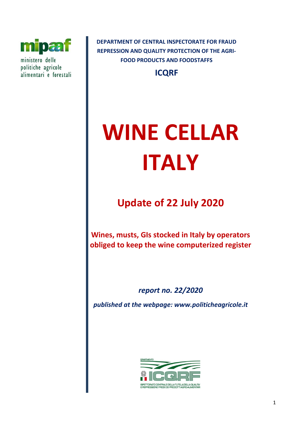

ministero delle politiche agricole alimentari e forestali **DEPARTMENT OF CENTRAL INSPECTORATE FOR FRAUD REPRESSION AND QUALITY PROTECTION OF THE AGRI-FOOD PRODUCTS AND FOODSTAFFS**

**ICQRF**

# **WINE CELLAR ITALY**

**Update of 22 July 2020**

**Wines, musts, GIs stocked in Italy by operators obliged to keep the wine computerized register**

*report no. 22/2020*

*published at the webpage: www.politicheagricole.it*

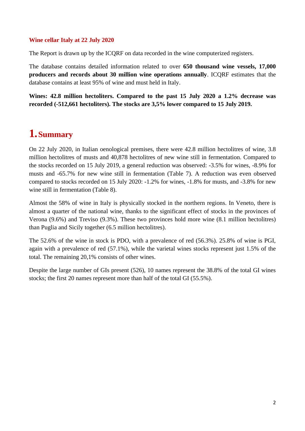## **Wine cellar Italy at 22 July 2020**

The Report is drawn up by the ICQRF on data recorded in the wine computerized registers.

The database contains detailed information related to over **650 thousand wine vessels, 17,000 producers and records about 30 million wine operations annually**. ICQRF estimates that the database contains at least 95% of wine and must held in Italy.

**Wines: 42.8 million hectoliters. Compared to the past 15 July 2020 a 1.2% decrease was recorded (-512,661 hectoliters). The stocks are 3,5% lower compared to 15 July 2019.**

## **1.Summary**

On 22 July 2020, in Italian oenological premises, there were 42.8 million hectolitres of wine, 3.8 million hectolitres of musts and 40,878 hectolitres of new wine still in fermentation. Compared to the stocks recorded on 15 July 2019, a general reduction was observed: -3.5% for wines, -8.9% for musts and -65.7% for new wine still in fermentation (Table 7). A reduction was even observed compared to stocks recorded on 15 July 2020: -1.2% for wines, -1.8% for musts, and -3.8% for new wine still in fermentation (Table 8).

Almost the 58% of wine in Italy is physically stocked in the northern regions. In Veneto, there is almost a quarter of the national wine, thanks to the significant effect of stocks in the provinces of Verona (9.6%) and Treviso (9.3%). These two provinces hold more wine (8.1 million hectolitres) than Puglia and Sicily together (6.5 million hectolitres).

The 52.6% of the wine in stock is PDO, with a prevalence of red (56.3%). 25.8% of wine is PGI, again with a prevalence of red (57.1%), while the varietal wines stocks represent just 1.5% of the total. The remaining 20,1% consists of other wines.

Despite the large number of GIs present (526), 10 names represent the 38.8% of the total GI wines stocks; the first 20 names represent more than half of the total GI (55.5%).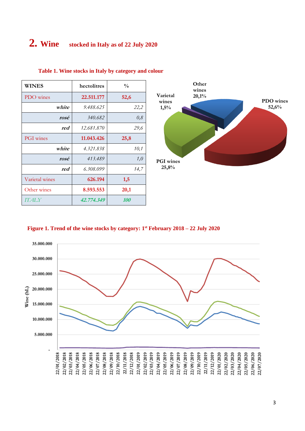# **2. Wine stocked in Italy as of 22 July 2020**

| WINES            | hectolitres | $\frac{0}{0}$ |
|------------------|-------------|---------------|
| PDO wines        | 22.511.177  | 52,6          |
| white            | 9.488.625   | 22,2          |
| rosé             | 340.682     | 0,8           |
| red              | 12.681.870  | 29,6          |
| <b>PGI</b> wines | 11.043.426  | 25,8          |
| white            | 4.321.838   | 10,1          |
| rosé             | 413.489     | 1,0           |
| red              | 6.308.099   | 14,7          |
| Varietal wines   | 626.194     | 1,5           |
| Other wines      | 8.593.553   | 20,1          |
| IT AL Y          | 42.774.349  | <i>100</i>    |

#### **Table 1. Wine stocks in Italy by category and colour**



#### **Figure 1. Trend of the wine stocks by category: 1st February 2018 – 22 July 2020**

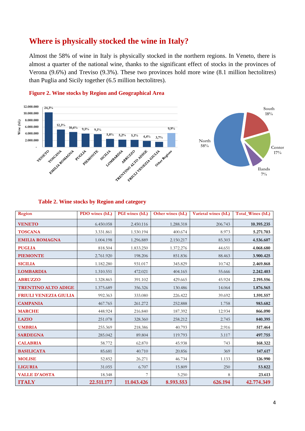## **Where is physically stocked the wine in Italy?**

Almost the 58% of wine in Italy is physically stocked in the northern regions. In Veneto, there is almost a quarter of the national wine, thanks to the significant effect of stocks in the provinces of Verona (9.6%) and Treviso (9.3%). These two provinces hold more wine (8.1 million hectolitres) than Puglia and Sicily together (6.5 million hectolitres).



## **Figure 2. Wine stocks by Region and Geographical Area**

#### **Table 2. Wine stocks by Region and category**

| Region                     | PDO wines (hL) | PGI wines (hL) | Other wines (hL) | Varietal wines (hL) | Total_Wines (hL) |
|----------------------------|----------------|----------------|------------------|---------------------|------------------|
| <b>VENETO</b>              | 6.450.058      | 2.450.116      | 1.288.318        | 206.743             | 10.395.235       |
| <b>TOSCANA</b>             | 3.331.861      | 1.530.194      | 400.674          | 8.973               | 5.271.703        |
| <b>EMILIA ROMAGNA</b>      | 1.004.198      | 1.296.889      | 2.150.217        | 85.303              | 4.536.607        |
| <b>PUGLIA</b>              | 818.504        | 1.833.250      | 1.372.276        | 44.651              | 4.068.680        |
| <b>PIEMONTE</b>            | 2.761.920      | 198.206        | 851.836          | 88.463              | 3.900.425        |
| <b>SICILIA</b>             | 1.182.280      | 931.017        | 345.829          | 10.742              | 2.469.868        |
| <b>LOMBARDIA</b>           | 1.310.551      | 472.021        | 404.165          | 55.666              | 2.242.403        |
| <b>ABRUZZO</b>             | 1.328.865      | 391.102        | 429.665          | 45.924              | 2.195.556        |
| <b>TRENTINO ALTO ADIGE</b> | 1.375.689      | 356.326        | 130.486          | 14.064              | 1.876.565        |
| FRIULI VENEZIA GIULIA      | 992.363        | 333.080        | 226.422          | 39.692              | 1.591.557        |
| <b>CAMPANIA</b>            | 467.765        | 261.272        | 252.888          | 1.758               | 983.682          |
| <b>MARCHE</b>              | 448.924        | 216.840        | 187.392          | 12.934              | 866.090          |
| <b>LAZIO</b>               | 251.078        | 328.360        | 258.212          | 2.745               | 840.395          |
| <b>UMBRIA</b>              | 255.369        | 218.386        | 40.793           | 2.916               | 517.464          |
| <b>SARDEGNA</b>            | 285.042        | 89.804         | 119.793          | 3.117               | 497.755          |
| <b>CALABRIA</b>            | 58.772         | 62.870         | 45.938           | 743                 | 168.322          |
| <b>BASILICATA</b>          | 85.681         | 40.710         | 20.856           | 369                 | 147.617          |
| <b>MOLISE</b>              | 52.852         | 26.271         | 46.734           | 1.133               | 126.990          |
| <b>LIGURIA</b>             | 31.055         | 6.707          | 15.809           | 250                 | 53.822           |
| <b>VALLE D'AOSTA</b>       | 18.348         | 7              | 5.250            | 8                   | 23.613           |
| <b>ITALY</b>               | 22.511.177     | 11.043.426     | 8.593.553        | 626.194             | 42.774.349       |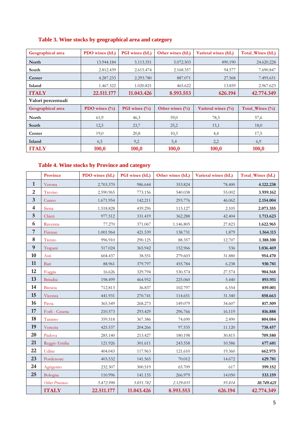## **Table 3. Wine stocks by geographical area and category**

| Geographical area  | PDO wines (hL)    | <b>PGI</b> wines (hL) | Other wines (hL)    | Varietal wines (hL)   | Total_Wines (hL)    |
|--------------------|-------------------|-----------------------|---------------------|-----------------------|---------------------|
| North              | 13.944.184        | 5.113.351             | 5.072.503           | 490.190               | 24.620.228          |
| South              | 2.812.439         | 2.615.474             | 2.168.357           | 94.577                | 7.690.847           |
| Center             | 4.287.233         | 2.293.780             | 887.071             | 27.568                | 7.495.651           |
| Island             | 1.467.322         | 1.020.821             | 465.622             | 13.859                | 2.967.623           |
| <b>ITALY</b>       | 22.511.177        | 11.043.426            | 8.593.553           | 626.194               | 42.774.349          |
| Valori percentuali |                   |                       |                     |                       |                     |
| Geographical area  | PDO wines $(\% )$ | PGI wines $(\%)$      | Other wines $(\% )$ | Varietal wines $(\%)$ | Total Wines $(\% )$ |
| North              | 61,9              | 46,3                  | 59,0                | 78,3                  | 57,6                |
| South              | 12,5              | 23,7                  | 25,2                | 15,1                  | 18,0                |
| Center             | 19,0              | 20,8                  | 10,3                | 4,4                   | 17,5                |
| Island             | 6,5               | 9,2                   | 5,4                 | 2,2                   | 6,9                 |
| <b>ITALY</b>       | 100,0             | 100,0                 | 100,0               | 100,0                 | 100,0               |

## **Table 4. Wine stocks by Province and category**

|                         | Province               | PDO wines (hL) | PGI wines (hL) | Other wines (hL) | Varietal wines (hL) | Total_Wines (hL) |
|-------------------------|------------------------|----------------|----------------|------------------|---------------------|------------------|
| $\mathbf{1}$            | Verona                 | 2.703.370      | 986.644        | 353.824          | 78.400              | 4.122.238        |
| $\boldsymbol{2}$        | Treviso                | 2.590.965      | 773.156        | 540.038          | 55.002              | 3.959.162        |
| $\mathbf{3}$            | Cuneo                  | 1.671.954      | 142.211        | 293.776          | 46.062              | 2.154.004        |
| $\overline{\mathbf{4}}$ | Siena                  | 1.518.828      | 439.296        | 113.127          | 2.105               | 2.073.355        |
| $\sqrt{5}$              | Chieti                 | 977.512        | 331.419        | 362.288          | 42.404              | 1.713.623        |
| 6                       | Ravenna                | 77.270         | 371.067        | 1.146.805        | 27.823              | 1.622.965        |
| $\sqrt{7}$              | Firenze                | 1.001.964      | 421.539        | 138.731          | 1.879               | 1.564.113        |
| ${\bf 8}$               | Trento                 | 996.910        | 290.125        | 88.357           | 12.707              | 1.388.100        |
| $\boldsymbol{9}$        | Trapani                | 517.024        | 365.942        | 152.966          | 536                 | 1.036.469        |
| 10                      | Asti                   | 604.437        | 38.551         | 279.603          | 31.880              | 954.470          |
| 11                      | Bari                   | 88.961         | 379.797        | 455.784          | 6.238               | 930.781          |
| 12                      | Foggia                 | 16.626         | 329.794        | 530.574          | 27.574              | 904.568          |
| 13                      | <b>Brindisi</b>        | 198.499        | 464.952        | 225.060          | 5.440               | 893.951          |
| 14                      | <b>Brescia</b>         | 712.813        | 36.837         | 102.797          | 6.554               | 859.001          |
| 15                      | Vicenza                | 441.931        | 270.741        | 114.651          | 31.340              | 858.663          |
| 16                      | Pavia                  | 365.549        | 268.273        | 149.079          | 34.607              | 817.509          |
| 17                      | Forlì - Cesena         | 210.573        | 293.429        | 296.766          | 16.119              | 816.888          |
| 18                      | Taranto                | 359.518        | 367.386        | 74.690           | 2.490               | 804.084          |
| 19                      | Venezia                | 425.537        | 204.266        | 97.535           | 11.120              | 738.457          |
| 20                      | Padova                 | 285.140        | 213.427        | 180.198          | 30.815              | 709.580          |
| 21                      | Reggio Emilia          | 121.926        | 301.611        | 243.558          | 10.586              | 677.681          |
| 22                      | Udine                  | 404.043        | 117.963        | 121.610          | 19.360              | 662.975          |
| 23                      | Pordenone              | 403.532        | 141.565        | 70.012           | 14.672              | 629.781          |
| 24                      | Agrigento              | 232.307        | 300.519        | 65.709           | 617                 | 599.152          |
| 25                      | Bologna                | 110.996        | 141.135        | 266.979          | 14.050              | 533.159          |
|                         | <b>Other Provinces</b> | 5,472.990      | 3.051.782      | 2.129.035        | 95.814              | 10.749.621       |
|                         | <b>ITALY</b>           | 22.511.177     | 11.043.426     | 8.593.553        | 626.194             | 42.774.349       |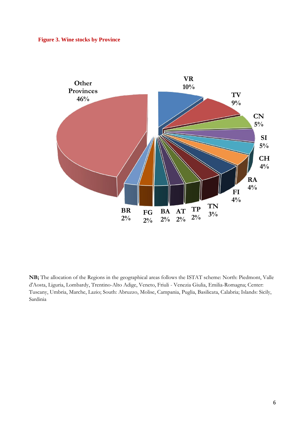

**NB;** The allocation of the Regions in the geographical areas follows the ISTAT scheme: North: Piedmont, Valle d'Aosta, Liguria, Lombardy, Trentino-Alto Adige, Veneto, Friuli - Venezia Giulia, Emilia-Romagna; Center: Tuscany, Umbria, Marche, Lazio; South: Abruzzo, Molise, Campania, Puglia, Basilicata, Calabria; Islands: Sicily, Sardinia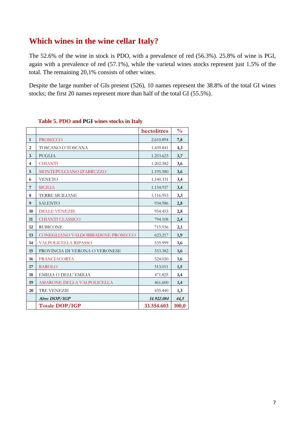## **Which wines in the wine cellar Italy?**

The 52.6% of the wine in stock is PDO, with a prevalence of red (56.3%). 25.8% of wine is PGI, again with a prevalence of red (57.1%), while the varietal wines stocks represent just 1.5% of the total. The remaining 20,1% consists of other wines.

Despite the large number of GIs present (526), 10 names represent the 38.8% of the total GI wines stocks; the first 20 names represent more than half of the total GI (55.5%).

|                         |                                   | hectolitres | $\frac{0}{0}$ |
|-------------------------|-----------------------------------|-------------|---------------|
| $\mathbf{1}$            | <b>PROSECCO</b>                   | 2.610.894   | 7,8           |
| $\overline{2}$          | TOSCANO O TOSCANA                 | 1.439.841   | 4,3           |
| $\overline{3}$          | <b>PUGLIA</b>                     | 1.253.623   | 3,7           |
| $\overline{\mathbf{4}}$ | <b>CHIANTI</b>                    | 1.202.382   | 3,6           |
| 5                       | MONTEPULCIANO D'ABRUZZO           | 1.195.580   | 3,6           |
| 6                       | <b>VENETO</b>                     | 1.140.331   | 3,4           |
| 7                       | <b>SICILIA</b>                    | 1.154.937   | 3,4           |
| 8                       | <b>TERRE SICILIANE</b>            | 1.116.953   | 3,3           |
| 9                       | <b>SALENTO</b>                    | 934.986     | 2,8           |
| 10                      | <b>DELLE VENEZIE</b>              | 954.453     | 2,8           |
| 11                      | <b>CHIANTI CLASSICO</b>           | 794.108     | 2,4           |
| 12                      | <b>RUBICONE</b>                   | 715.936     | 2,1           |
| 13                      | CONEGLIANO VALDOBBIADENE PROSECCO | 623.217     | 1,9           |
| 14                      | <b>VALPOLICELLA RIPASSO</b>       | 535.999     | 1,6           |
| 15                      | PROVINCIA DI VERONA O VERONESE    | 553.382     | 1,6           |
| 16                      | <b>FRANCIACORTA</b>               | 524.020     | 1,6           |
| 17                      | <b>BAROLO</b>                     | 513.011     | 1,5           |
| 18                      | EMILIA O DELL' EMILIA             | 471.825     | 1,4           |
| 19                      | AMARONE DELLA VALPOLICELLA        | 461.600     | 1,4           |
| 20                      | <b>TRE VENEZIE</b>                | 435.440     | 1,3           |
|                         | Altre DOP/IGP                     | 14.922.084  | 44,5          |
|                         | <b>Totale DOP/IGP</b>             | 33.554.603  | 100,0         |

## **Table 5. PDO and PGI wines stocks in Italy**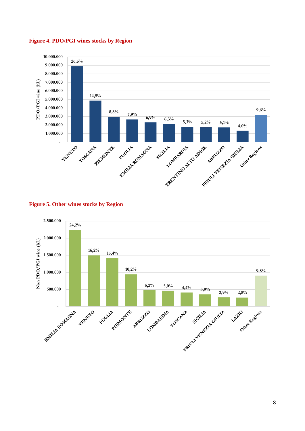

## **Figure 4. PDO/PGI wines stocks by Region**



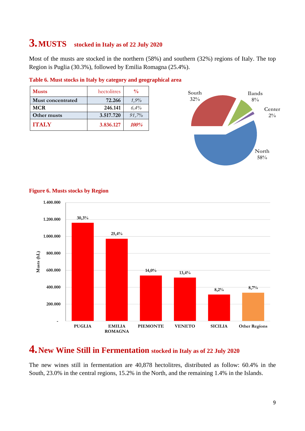# **3.MUSTS stocked in Italy as of 22 July 2020**

Most of the musts are stocked in the northern (58%) and southern (32%) regions of Italy. The top Region is Puglia (30.3%), followed by Emilia Romagna (25.4%).

| <b>Musts</b>             | hectolitres | $\frac{0}{0}$ |
|--------------------------|-------------|---------------|
| <b>Must concentrated</b> | 72.266      | 1,9%          |
| <b>MCR</b>               | 246.141     | $6.4\%$       |
| Other musts              | 3.517.720   | 91,7%         |
| <b>ITALY</b>             | 3.836.127   | <i>100%</i>   |

#### **Table 6. Must stocks in Italy by category and geographical area**



#### **Figure 6. Musts stocks by Region**



## **4.New Wine Still in Fermentation stocked in Italy as of 22 July 2020**

The new wines still in fermentation are 40,878 hectolitres, distributed as follow: 60.4% in the South, 23.0% in the central regions, 15.2% in the North, and the remaining 1.4% in the Islands.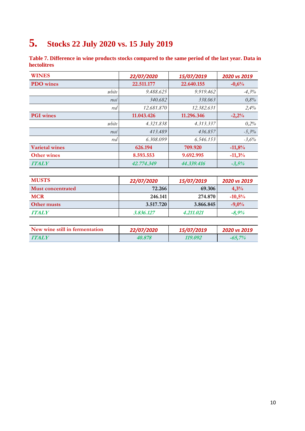# **5. Stocks 22 July 2020 vs. 15 July 2019**

**Table 7. Difference in wine products stocks compared to the same period of the last year. Data in hectolitres**

| <b>WINES</b>          | 22/07/2020 | 15/07/2019 | 2020 vs 2019 |
|-----------------------|------------|------------|--------------|
| <b>PDO</b> wines      | 22.511.177 | 22.640.155 | $-0,6%$      |
| white                 | 9.488.625  | 9.919.462  | $-4,3%$      |
| rosé                  | 340.682    | 338.063    | 0,8%         |
| red                   | 12.681.870 | 12.382.631 | 2,4%         |
| <b>PGI</b> wines      | 11.043.426 | 11.296.346 | $-2,2%$      |
| white                 | 4.321.838  | 4.313.337  | 0,2%         |
| rosé                  | 413.489    | 436.857    | $-5,3%$      |
| red                   | 6.308.099  | 6.546.153  | $-3,6%$      |
| <b>Varietal wines</b> | 626.194    | 709.920    | $-11,8%$     |
| <b>Other wines</b>    | 8.593.553  | 9.692.995  | $-11,3%$     |
| <b>ITALY</b>          | 42.774.349 | 44.339.416 | $-3,5%$      |

| <b>MUSTS</b>             | 22/07/2020 | 15/07/2019 | 2020 vs 2019 |
|--------------------------|------------|------------|--------------|
| <b>Must concentrated</b> | 72.266     | 69.306     | 4.3%         |
| <b>MCR</b>               | 246.141    | 274.870    | $-10,5%$     |
| Other musts              | 3.517.720  | 3.866.845  | $-9,0\%$     |
| <b>ITALY</b>             | 3.836.127  | 4.211.021  | $-8.9\%$     |

| New wine still in fermentation | 22/07/2020 | 15/07/2019 | 2020 vs 2019 |
|--------------------------------|------------|------------|--------------|
| <b>TTALY</b>                   | 40.878     | 119.092    | $-65.7\%$    |